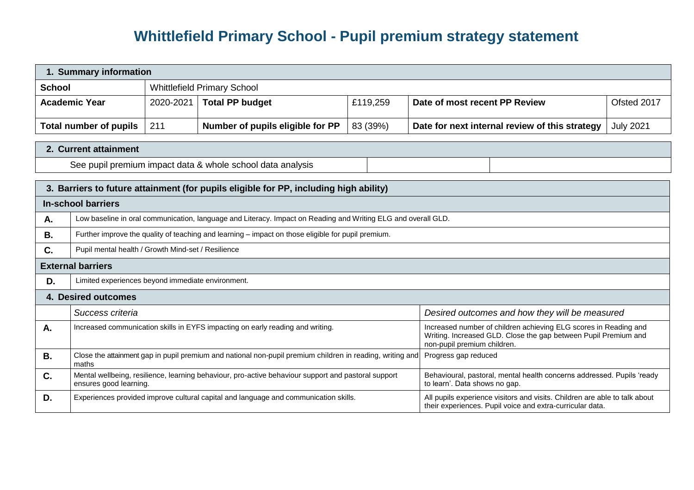## **Whittlefield Primary School - Pupil premium strategy statement**

| 1. Summary information                                                                |                                                                                                                                            |                                    |                                                                                                     |                                                                                                                                                                    |                                                                                                                                         |                  |  |  |
|---------------------------------------------------------------------------------------|--------------------------------------------------------------------------------------------------------------------------------------------|------------------------------------|-----------------------------------------------------------------------------------------------------|--------------------------------------------------------------------------------------------------------------------------------------------------------------------|-----------------------------------------------------------------------------------------------------------------------------------------|------------------|--|--|
| <b>School</b>                                                                         |                                                                                                                                            | <b>Whittlefield Primary School</b> |                                                                                                     |                                                                                                                                                                    |                                                                                                                                         |                  |  |  |
| <b>Academic Year</b>                                                                  |                                                                                                                                            | 2020-2021                          | <b>Total PP budget</b>                                                                              | £119,259                                                                                                                                                           | Date of most recent PP Review                                                                                                           | Ofsted 2017      |  |  |
| <b>Total number of pupils</b>                                                         |                                                                                                                                            | 211                                | Number of pupils eligible for PP                                                                    | 83 (39%)                                                                                                                                                           | Date for next internal review of this strategy                                                                                          | <b>July 2021</b> |  |  |
|                                                                                       |                                                                                                                                            |                                    |                                                                                                     |                                                                                                                                                                    |                                                                                                                                         |                  |  |  |
|                                                                                       | 2. Current attainment                                                                                                                      |                                    |                                                                                                     |                                                                                                                                                                    |                                                                                                                                         |                  |  |  |
| See pupil premium impact data & whole school data analysis                            |                                                                                                                                            |                                    |                                                                                                     |                                                                                                                                                                    |                                                                                                                                         |                  |  |  |
| 3. Barriers to future attainment (for pupils eligible for PP, including high ability) |                                                                                                                                            |                                    |                                                                                                     |                                                                                                                                                                    |                                                                                                                                         |                  |  |  |
|                                                                                       | <b>In-school barriers</b>                                                                                                                  |                                    |                                                                                                     |                                                                                                                                                                    |                                                                                                                                         |                  |  |  |
| А.                                                                                    | Low baseline in oral communication, language and Literacy. Impact on Reading and Writing ELG and overall GLD.                              |                                    |                                                                                                     |                                                                                                                                                                    |                                                                                                                                         |                  |  |  |
|                                                                                       |                                                                                                                                            |                                    |                                                                                                     |                                                                                                                                                                    |                                                                                                                                         |                  |  |  |
| В.                                                                                    | Further improve the quality of teaching and learning - impact on those eligible for pupil premium.                                         |                                    |                                                                                                     |                                                                                                                                                                    |                                                                                                                                         |                  |  |  |
| Pupil mental health / Growth Mind-set / Resilience<br>C.                              |                                                                                                                                            |                                    |                                                                                                     |                                                                                                                                                                    |                                                                                                                                         |                  |  |  |
| <b>External barriers</b>                                                              |                                                                                                                                            |                                    |                                                                                                     |                                                                                                                                                                    |                                                                                                                                         |                  |  |  |
| Limited experiences beyond immediate environment.<br>D.                               |                                                                                                                                            |                                    |                                                                                                     |                                                                                                                                                                    |                                                                                                                                         |                  |  |  |
| 4. Desired outcomes                                                                   |                                                                                                                                            |                                    |                                                                                                     |                                                                                                                                                                    |                                                                                                                                         |                  |  |  |
|                                                                                       | Success criteria<br>Desired outcomes and how they will be measured                                                                         |                                    |                                                                                                     |                                                                                                                                                                    |                                                                                                                                         |                  |  |  |
| Α.                                                                                    | Increased communication skills in EYFS impacting on early reading and writing.                                                             |                                    |                                                                                                     | Increased number of children achieving ELG scores in Reading and<br>Writing. Increased GLD. Close the gap between Pupil Premium and<br>non-pupil premium children. |                                                                                                                                         |                  |  |  |
| <b>B.</b>                                                                             | Close the attainment gap in pupil premium and national non-pupil premium children in reading, writing and<br>Progress gap reduced<br>maths |                                    |                                                                                                     |                                                                                                                                                                    |                                                                                                                                         |                  |  |  |
| C.                                                                                    | ensures good learning.                                                                                                                     |                                    | Mental wellbeing, resilience, learning behaviour, pro-active behaviour support and pastoral support |                                                                                                                                                                    | Behavioural, pastoral, mental health concerns addressed. Pupils 'ready<br>to learn'. Data shows no gap.                                 |                  |  |  |
| D.                                                                                    |                                                                                                                                            |                                    | Experiences provided improve cultural capital and language and communication skills.                |                                                                                                                                                                    | All pupils experience visitors and visits. Children are able to talk about<br>their experiences. Pupil voice and extra-curricular data. |                  |  |  |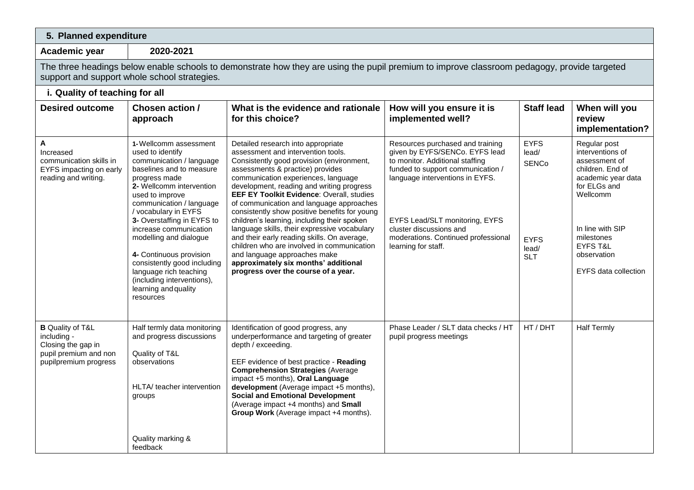## **5. Planned expenditure**

**Academic year 2020-2021**

The three headings below enable schools to demonstrate how they are using the pupil premium to improve classroom pedagogy, provide targeted support and support whole school strategies.

## **i. Quality of teaching for all**

| <b>Desired outcome</b>                                                                                         | Chosen action /<br>approach                                                                                                                                                                                                           | What is the evidence and rationale<br>for this choice?                                                                                                                                                                                                                                                                                                                                                     | How will you ensure it is<br>implemented well?                                                                                                                                | <b>Staff lead</b>                    | When will you<br>review<br>implementation?                                                                              |
|----------------------------------------------------------------------------------------------------------------|---------------------------------------------------------------------------------------------------------------------------------------------------------------------------------------------------------------------------------------|------------------------------------------------------------------------------------------------------------------------------------------------------------------------------------------------------------------------------------------------------------------------------------------------------------------------------------------------------------------------------------------------------------|-------------------------------------------------------------------------------------------------------------------------------------------------------------------------------|--------------------------------------|-------------------------------------------------------------------------------------------------------------------------|
| A<br>Increased<br>communication skills in<br>EYFS impacting on early<br>reading and writing.                   | 1-Wellcomm assessment<br>used to identify<br>communication / language<br>baselines and to measure<br>progress made<br>2- Wellcomm intervention<br>used to improve<br>communication / language<br>/ vocabulary in EYFS                 | Detailed research into appropriate<br>assessment and intervention tools.<br>Consistently good provision (environment,<br>assessments & practice) provides<br>communication experiences, language<br>development, reading and writing progress<br><b>EEF EY Toolkit Evidence: Overall, studies</b><br>of communication and language approaches<br>consistently show positive benefits for young             | Resources purchased and training<br>given by EYFS/SENCo. EYFS lead<br>to monitor. Additional staffing<br>funded to support communication /<br>language interventions in EYFS. | <b>EYFS</b><br>lead/<br><b>SENCo</b> | Regular post<br>interventions of<br>assessment of<br>children. End of<br>academic year data<br>for ELGs and<br>Wellcomm |
|                                                                                                                | 3- Overstaffing in EYFS to<br>increase communication<br>modelling and dialogue<br>4- Continuous provision<br>consistently good including<br>language rich teaching<br>(including interventions),<br>learning and quality<br>resources | children's learning, including their spoken<br>language skills, their expressive vocabulary<br>and their early reading skills. On average,<br>children who are involved in communication<br>and language approaches make<br>approximately six months' additional<br>progress over the course of a year.                                                                                                    | EYFS Lead/SLT monitoring, EYFS<br>cluster discussions and<br>moderations. Continued professional<br>learning for staff.                                                       | <b>EYFS</b><br>lead/<br><b>SLT</b>   | In line with SIP<br>milestones<br><b>EYFS T&amp;L</b><br>observation<br><b>EYFS data collection</b>                     |
| <b>B</b> Quality of T&L<br>including -<br>Closing the gap in<br>pupil premium and non<br>pupilpremium progress | Half termly data monitoring<br>and progress discussions<br>Quality of T&L<br>observations<br>HLTA/ teacher intervention<br>groups<br>Quality marking &                                                                                | Identification of good progress, any<br>underperformance and targeting of greater<br>depth / exceeding.<br>EEF evidence of best practice - Reading<br><b>Comprehension Strategies (Average</b><br>impact +5 months), Oral Language<br>development (Average impact +5 months),<br><b>Social and Emotional Development</b><br>(Average impact +4 months) and Small<br>Group Work (Average impact +4 months). | Phase Leader / SLT data checks / HT<br>pupil progress meetings                                                                                                                | HT / DHT                             | <b>Half Termly</b>                                                                                                      |
|                                                                                                                | feedback                                                                                                                                                                                                                              |                                                                                                                                                                                                                                                                                                                                                                                                            |                                                                                                                                                                               |                                      |                                                                                                                         |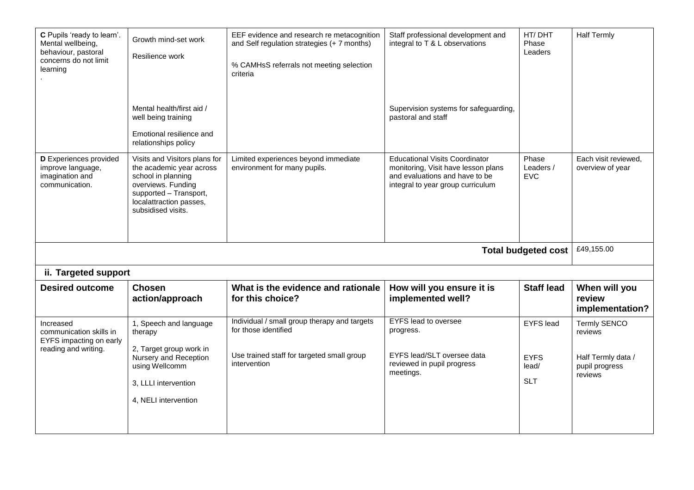| C Pupils 'ready to learn'.<br>Mental wellbeing,<br>behaviour, pastoral<br>concerns do not limit<br>learning | Growth mind-set work<br>Resilience work                                                                                                                                          | EEF evidence and research re metacognition<br>and Self regulation strategies (+ 7 months)<br>% CAMHsS referrals not meeting selection<br>criteria | Staff professional development and<br>integral to T & L observations                                                                                | HT/DHT<br>Phase<br>Leaders               | <b>Half Termly</b>                                                     |  |
|-------------------------------------------------------------------------------------------------------------|----------------------------------------------------------------------------------------------------------------------------------------------------------------------------------|---------------------------------------------------------------------------------------------------------------------------------------------------|-----------------------------------------------------------------------------------------------------------------------------------------------------|------------------------------------------|------------------------------------------------------------------------|--|
|                                                                                                             | Mental health/first aid /<br>well being training<br>Emotional resilience and<br>relationships policy                                                                             |                                                                                                                                                   | Supervision systems for safeguarding,<br>pastoral and staff                                                                                         |                                          |                                                                        |  |
| D Experiences provided<br>improve language,<br>imagination and<br>communication.                            | Visits and Visitors plans for<br>the academic year across<br>school in planning<br>overviews. Funding<br>supported - Transport,<br>localattraction passes,<br>subsidised visits. | Limited experiences beyond immediate<br>environment for many pupils.                                                                              | <b>Educational Visits Coordinator</b><br>monitoring, Visit have lesson plans<br>and evaluations and have to be<br>integral to year group curriculum | Phase<br>Leaders /<br><b>EVC</b>         | Each visit reviewed.<br>overview of year                               |  |
|                                                                                                             |                                                                                                                                                                                  |                                                                                                                                                   |                                                                                                                                                     | <b>Total budgeted cost</b>               | £49,155.00                                                             |  |
| ii. Targeted support                                                                                        |                                                                                                                                                                                  |                                                                                                                                                   |                                                                                                                                                     |                                          |                                                                        |  |
| <b>Desired outcome</b>                                                                                      | <b>Chosen</b><br>action/approach                                                                                                                                                 | What is the evidence and rationale<br>for this choice?                                                                                            | How will you ensure it is<br>implemented well?                                                                                                      | <b>Staff lead</b>                        | When will you<br>review<br>implementation?                             |  |
| Increased<br>communication skills in<br>EYFS impacting on early<br>reading and writing.                     | 1, Speech and language<br>therapy<br>2, Target group work in<br>Nursery and Reception<br>using Wellcomm                                                                          | Individual / small group therapy and targets<br>for those identified<br>Use trained staff for targeted small group<br>intervention                | <b>EYFS</b> lead to oversee<br>progress.<br>EYFS lead/SLT oversee data<br>reviewed in pupil progress                                                | <b>EYFS</b> lead<br><b>EYFS</b><br>lead/ | <b>Termly SENCO</b><br>reviews<br>Half Termly data /<br>pupil progress |  |
|                                                                                                             | 3, LLLI intervention<br>4, NELI intervention                                                                                                                                     |                                                                                                                                                   | meetings.                                                                                                                                           | <b>SLT</b>                               | reviews                                                                |  |